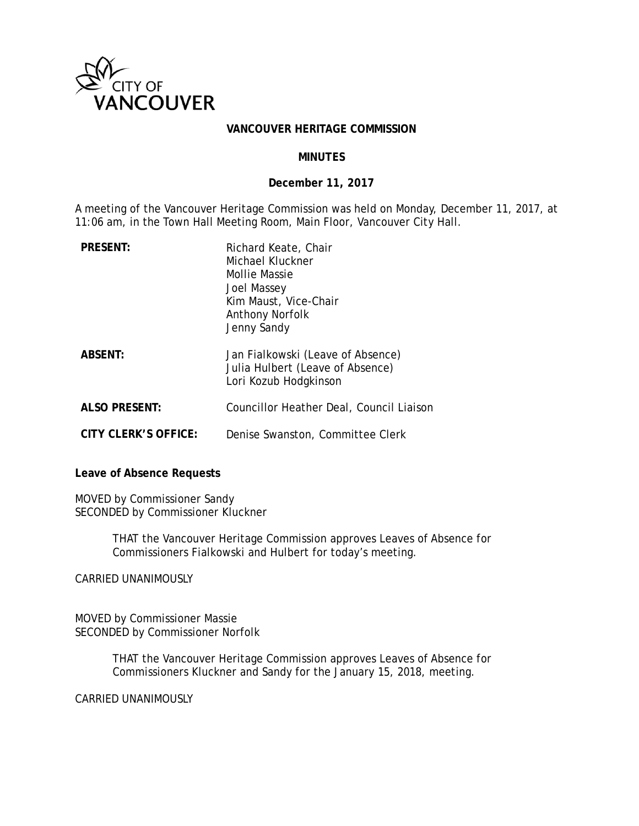

#### **VANCOUVER HERITAGE COMMISSION**

### **MINUTES**

### **December 11, 2017**

A meeting of the Vancouver Heritage Commission was held on Monday, December 11, 2017, at 11:06 am, in the Town Hall Meeting Room, Main Floor, Vancouver City Hall.

| <b>PRESENT:</b>      | Richard Keate, Chair<br>Michael Kluckner<br>Mollie Massie<br>Joel Massey<br>Kim Maust, Vice-Chair<br><b>Anthony Norfolk</b><br>Jenny Sandy |
|----------------------|--------------------------------------------------------------------------------------------------------------------------------------------|
| <b>ABSENT:</b>       | Jan Fialkowski (Leave of Absence)<br>Julia Hulbert (Leave of Absence)<br>Lori Kozub Hodgkinson                                             |
| <b>ALSO PRESENT:</b> | Councillor Heather Deal, Council Liaison                                                                                                   |
| CITY CLERK'S OFFICE: | Denise Swanston, Committee Clerk                                                                                                           |

**Leave of Absence Requests** 

MOVED by Commissioner Sandy SECONDED by Commissioner Kluckner

> THAT the Vancouver Heritage Commission approves Leaves of Absence for Commissioners Fialkowski and Hulbert for today's meeting.

CARRIED UNANIMOUSLY

MOVED by Commissioner Massie SECONDED by Commissioner Norfolk

> THAT the Vancouver Heritage Commission approves Leaves of Absence for Commissioners Kluckner and Sandy for the January 15, 2018, meeting.

CARRIED UNANIMOUSLY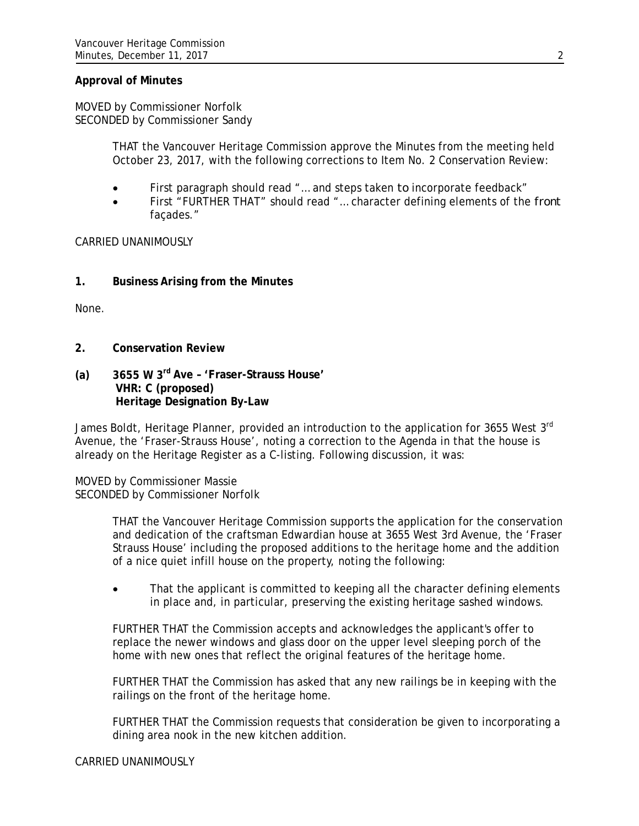### **Approval of Minutes**

MOVED by Commissioner Norfolk SECONDED by Commissioner Sandy

> THAT the Vancouver Heritage Commission approve the Minutes from the meeting held October 23, 2017, with the following corrections to Item No. 2 Conservation Review:

- First paragraph should read "… and steps taken *to* incorporate feedback"
- First "FURTHER THAT" should read "… character defining elements of the *front* façades."

CARRIED UNANIMOUSLY

**1. Business Arising from the Minutes** 

None.

- **2. Conservation Review**
- **(a) 3655 W 3rd Ave 'Fraser-Strauss House' VHR: C (proposed) Heritage Designation By-Law**

James Boldt, Heritage Planner, provided an introduction to the application for 3655 West 3<sup>rd</sup> Avenue, the 'Fraser-Strauss House', noting a correction to the Agenda in that the house is already on the Heritage Register as a C-listing. Following discussion, it was:

MOVED by Commissioner Massie SECONDED by Commissioner Norfolk

> THAT the Vancouver Heritage Commission supports the application for the conservation and dedication of the craftsman Edwardian house at 3655 West 3rd Avenue, the 'Fraser Strauss House' including the proposed additions to the heritage home and the addition of a nice quiet infill house on the property, noting the following:

> That the applicant is committed to keeping all the character defining elements in place and, in particular, preserving the existing heritage sashed windows.

FURTHER THAT the Commission accepts and acknowledges the applicant's offer to replace the newer windows and glass door on the upper level sleeping porch of the home with new ones that reflect the original features of the heritage home.

FURTHER THAT the Commission has asked that any new railings be in keeping with the railings on the front of the heritage home.

FURTHER THAT the Commission requests that consideration be given to incorporating a dining area nook in the new kitchen addition.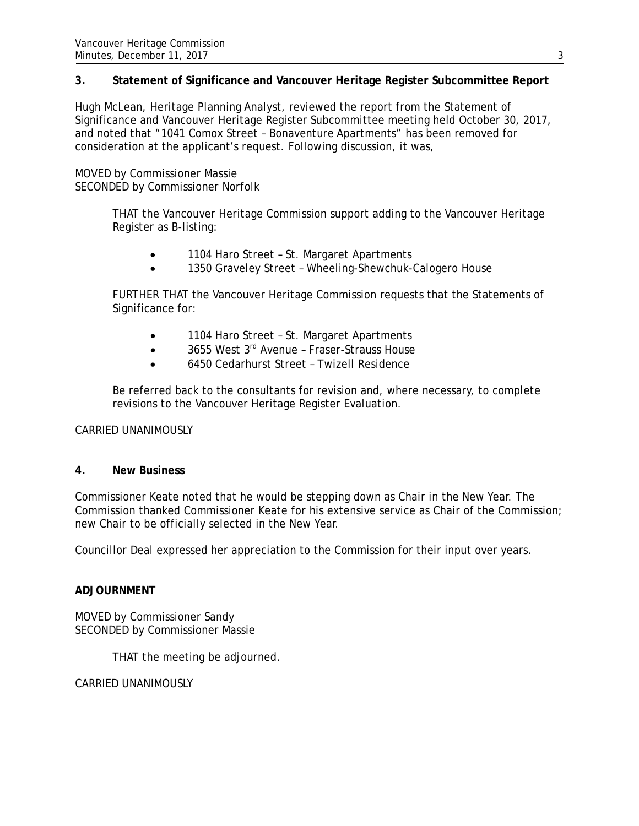## **3. Statement of Significance and Vancouver Heritage Register Subcommittee Report**

Hugh McLean, Heritage Planning Analyst, reviewed the report from the Statement of Significance and Vancouver Heritage Register Subcommittee meeting held October 30, 2017, and noted that "1041 Comox Street – Bonaventure Apartments" has been removed for consideration at the applicant's request. Following discussion, it was,

MOVED by Commissioner Massie SECONDED by Commissioner Norfolk

> THAT the Vancouver Heritage Commission support adding to the Vancouver Heritage Register as B-listing:

- 1104 Haro Street St. Margaret Apartments
- 1350 Graveley Street Wheeling-Shewchuk-Calogero House

FURTHER THAT the Vancouver Heritage Commission requests that the Statements of Significance for:

- 1104 Haro Street St. Margaret Apartments
- $\bullet$  3655 West 3<sup>rd</sup> Avenue Fraser-Strauss House
- 6450 Cedarhurst Street Twizell Residence

Be referred back to the consultants for revision and, where necessary, to complete revisions to the Vancouver Heritage Register Evaluation.

CARRIED UNANIMOUSLY

## **4. New Business**

Commissioner Keate noted that he would be stepping down as Chair in the New Year. The Commission thanked Commissioner Keate for his extensive service as Chair of the Commission; new Chair to be officially selected in the New Year.

Councillor Deal expressed her appreciation to the Commission for their input over years.

## **ADJOURNMENT**

MOVED by Commissioner Sandy SECONDED by Commissioner Massie

THAT the meeting be adjourned.

CARRIED UNANIMOUSLY